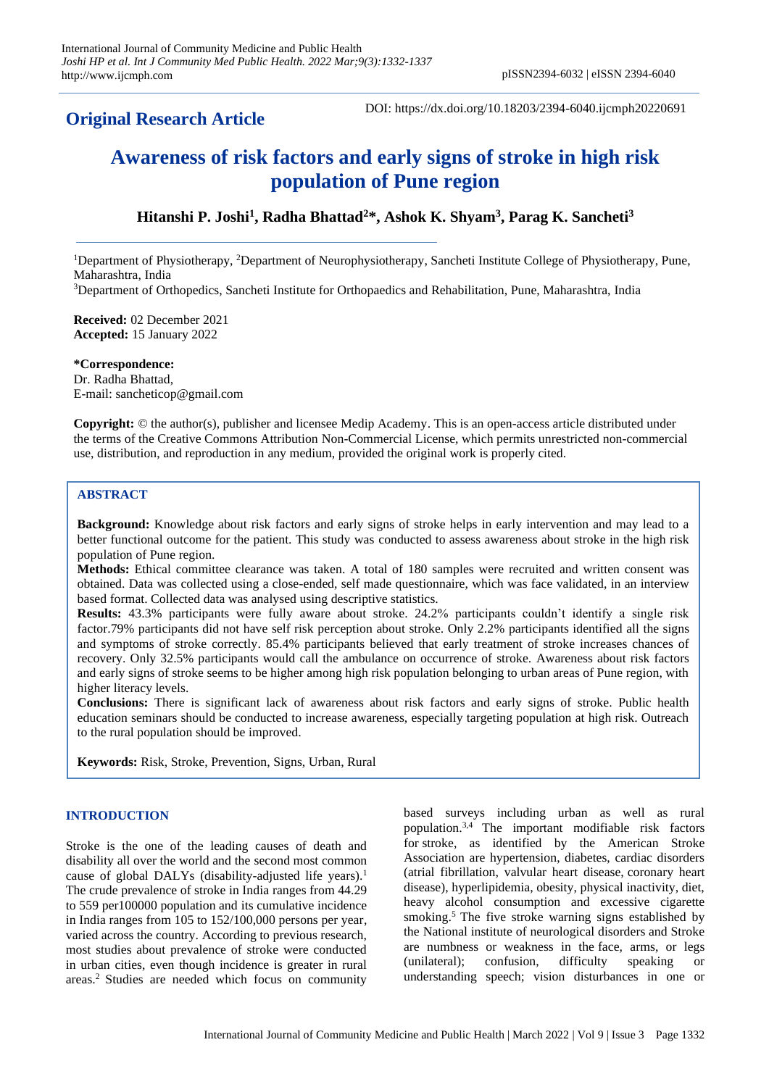# **Original Research Article**

DOI: https://dx.doi.org/10.18203/2394-6040.ijcmph20220691

# **Awareness of risk factors and early signs of stroke in high risk population of Pune region**

# **Hitanshi P. Joshi<sup>1</sup> , Radha Bhattad<sup>2</sup>\*, Ashok K. Shyam<sup>3</sup> , Parag K. Sancheti<sup>3</sup>**

<sup>1</sup>Department of Physiotherapy, <sup>2</sup>Department of Neurophysiotherapy, Sancheti Institute College of Physiotherapy, Pune, Maharashtra, India

<sup>3</sup>Department of Orthopedics, Sancheti Institute for Orthopaedics and Rehabilitation, Pune, Maharashtra, India

**Received:** 02 December 2021 **Accepted:** 15 January 2022

**\*Correspondence:** Dr. Radha Bhattad, E-mail[: sancheticop@gmail.com](mailto:sancheticop@gmail.com)

**Copyright:** © the author(s), publisher and licensee Medip Academy. This is an open-access article distributed under the terms of the Creative Commons Attribution Non-Commercial License, which permits unrestricted non-commercial use, distribution, and reproduction in any medium, provided the original work is properly cited.

# **ABSTRACT**

**Background:** Knowledge about risk factors and early signs of stroke helps in early intervention and may lead to a better functional outcome for the patient. This study was conducted to assess awareness about stroke in the high risk population of Pune region.

**Methods:** Ethical committee clearance was taken. A total of 180 samples were recruited and written consent was obtained. Data was collected using a close-ended, self made questionnaire, which was face validated, in an interview based format. Collected data was analysed using descriptive statistics.

**Results:** 43.3% participants were fully aware about stroke. 24.2% participants couldn't identify a single risk factor.79% participants did not have self risk perception about stroke. Only 2.2% participants identified all the signs and symptoms of stroke correctly. 85.4% participants believed that early treatment of stroke increases chances of recovery. Only 32.5% participants would call the ambulance on occurrence of stroke. Awareness about risk factors and early signs of stroke seems to be higher among high risk population belonging to urban areas of Pune region, with higher literacy levels.

**Conclusions:** There is significant lack of awareness about risk factors and early signs of stroke. Public health education seminars should be conducted to increase awareness, especially targeting population at high risk. Outreach to the rural population should be improved.

**Keywords:** Risk, Stroke, Prevention, Signs, Urban, Rural

#### **INTRODUCTION**

Stroke is the one of the leading causes of death and disability all over the world and the second most common cause of global DALYs (disability-adjusted life years).<sup>1</sup> The crude prevalence of stroke in India ranges from 44.29 to 559 per100000 population and its cumulative incidence in India ranges from 105 to 152/100,000 persons per year, varied across the country. According to previous research, most studies about prevalence of stroke were conducted in urban cities, even though incidence is greater in rural areas.<sup>2</sup> Studies are needed which focus on community

based surveys including urban as well as rural population.3,4 The important modifiable risk factors for stroke, as identified by the American Stroke Association are hypertension, diabetes, cardiac disorders (atrial fibrillation, valvular heart disease, coronary heart disease), hyperlipidemia, obesity, physical inactivity, diet, heavy alcohol consumption and excessive cigarette smoking.<sup>5</sup> The five stroke warning signs established by the National institute of neurological disorders and Stroke are numbness or weakness in the face, arms, or legs (unilateral); confusion, difficulty speaking or understanding speech; vision disturbances in one or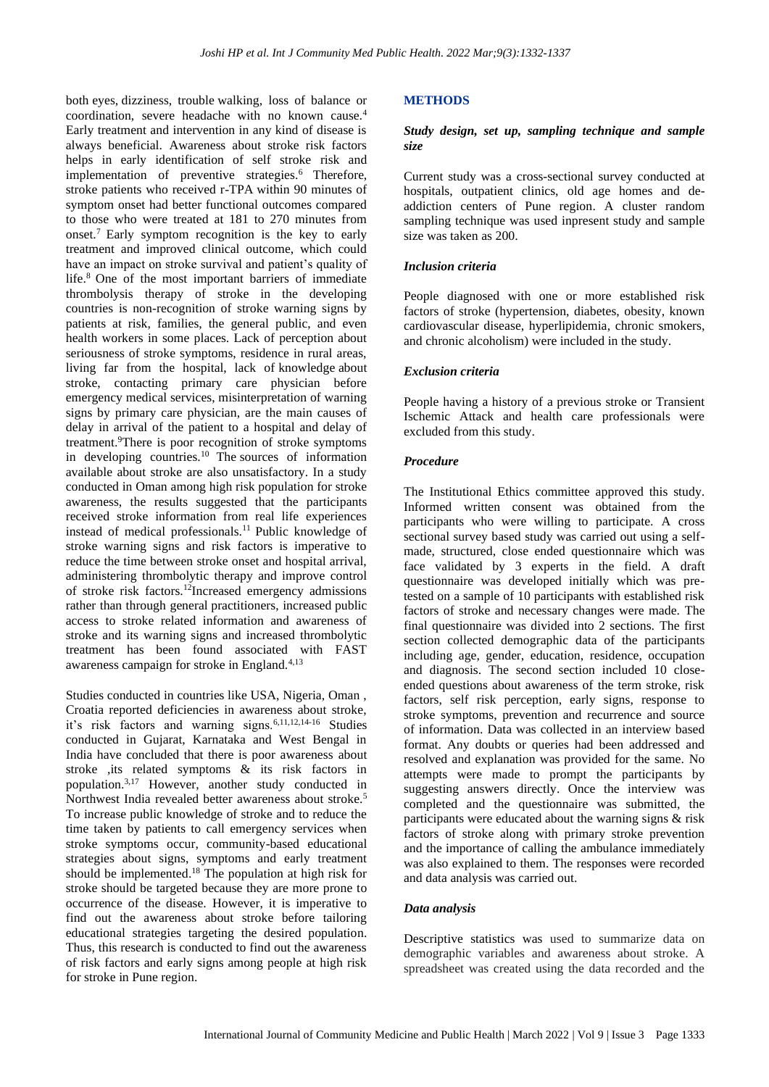both eyes, dizziness, trouble walking, loss of balance or coordination, severe headache with no known cause.<sup>4</sup> Early treatment and intervention in any kind of disease is always beneficial. Awareness about stroke risk factors helps in early identification of self stroke risk and implementation of preventive strategies.<sup>6</sup> Therefore, stroke patients who received r-TPA within 90 minutes of symptom onset had better functional outcomes compared to those who were treated at 181 to 270 minutes from onset.<sup>7</sup> Early symptom recognition is the key to early treatment and improved clinical outcome, which could have an impact on stroke survival and patient's quality of life.<sup>8</sup> One of the most important barriers of immediate thrombolysis therapy of stroke in the developing countries is non-recognition of stroke warning signs by patients at risk, families, the general public, and even health workers in some places. Lack of perception about seriousness of stroke symptoms, residence in rural areas, living far from the hospital, lack of knowledge about stroke, contacting primary care physician before emergency medical services, misinterpretation of warning signs by primary care physician, are the main causes of delay in arrival of the patient to a hospital and delay of treatment.<sup>9</sup>There is poor recognition of stroke symptoms in developing countries.<sup>10</sup> The sources of information available about stroke are also unsatisfactory. In a study conducted in Oman among high risk population for stroke awareness, the results suggested that the participants received stroke information from real life experiences instead of medical professionals.<sup>11</sup> Public knowledge of stroke warning signs and risk factors is imperative to reduce the time between stroke onset and hospital arrival, administering thrombolytic therapy and improve control of stroke risk factors.<sup>12</sup>Increased emergency admissions rather than through general practitioners, increased public access to stroke related information and awareness of stroke and its warning signs and increased thrombolytic treatment has been found associated with FAST awareness campaign for stroke in England.<sup>4,13</sup>

Studies conducted in countries like USA, Nigeria, Oman , Croatia reported deficiencies in awareness about stroke, it's risk factors and warning signs.6,11,12,14-16 Studies conducted in Gujarat, Karnataka and West Bengal in India have concluded that there is poor awareness about stroke ,its related symptoms & its risk factors in population.3,17 However, another study conducted in Northwest India revealed better awareness about stroke.<sup>5</sup> To increase public knowledge of stroke and to reduce the time taken by patients to call emergency services when stroke symptoms occur, community-based educational strategies about signs, symptoms and early treatment should be implemented. <sup>18</sup> The population at high risk for stroke should be targeted because they are more prone to occurrence of the disease. However, it is imperative to find out the awareness about stroke before tailoring educational strategies targeting the desired population. Thus, this research is conducted to find out the awareness of risk factors and early signs among people at high risk for stroke in Pune region.

#### **METHODS**

#### *Study design, set up, sampling technique and sample size*

Current study was a cross-sectional survey conducted at hospitals, outpatient clinics, old age homes and deaddiction centers of Pune region. A cluster random sampling technique was used inpresent study and sample size was taken as 200.

#### *Inclusion criteria*

People diagnosed with one or more established risk factors of stroke (hypertension, diabetes, obesity, known cardiovascular disease, hyperlipidemia, chronic smokers, and chronic alcoholism) were included in the study.

#### *Exclusion criteria*

People having a history of a previous stroke or Transient Ischemic Attack and health care professionals were excluded from this study.

#### *Procedure*

The Institutional Ethics committee approved this study. Informed written consent was obtained from the participants who were willing to participate. A cross sectional survey based study was carried out using a selfmade, structured, close ended questionnaire which was face validated by 3 experts in the field. A draft questionnaire was developed initially which was pretested on a sample of 10 participants with established risk factors of stroke and necessary changes were made. The final questionnaire was divided into 2 sections. The first section collected demographic data of the participants including age, gender, education, residence, occupation and diagnosis. The second section included 10 closeended questions about awareness of the term stroke, risk factors, self risk perception, early signs, response to stroke symptoms, prevention and recurrence and source of information. Data was collected in an interview based format. Any doubts or queries had been addressed and resolved and explanation was provided for the same. No attempts were made to prompt the participants by suggesting answers directly. Once the interview was completed and the questionnaire was submitted, the participants were educated about the warning signs & risk factors of stroke along with primary stroke prevention and the importance of calling the ambulance immediately was also explained to them. The responses were recorded and data analysis was carried out.

#### *Data analysis*

Descriptive statistics was used to summarize data on demographic variables and awareness about stroke. A spreadsheet was created using the data recorded and the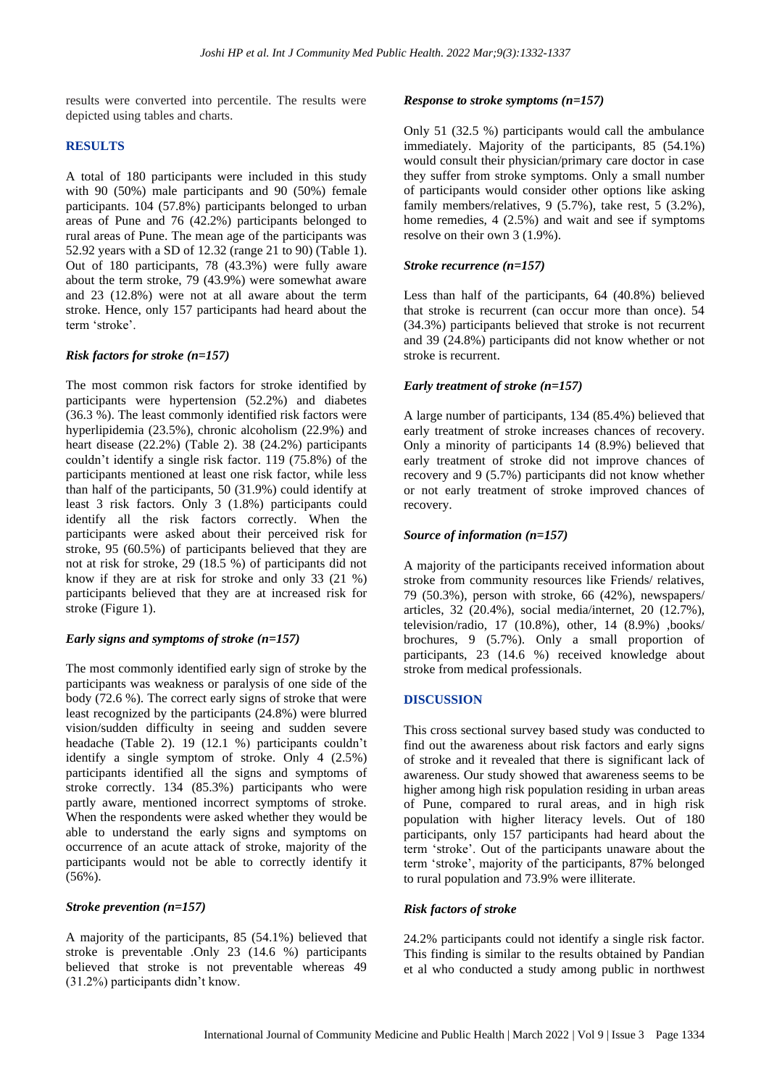results were converted into percentile. The results were depicted using tables and charts.

#### **RESULTS**

A total of 180 participants were included in this study with 90 (50%) male participants and 90 (50%) female participants. 104 (57.8%) participants belonged to urban areas of Pune and 76 (42.2%) participants belonged to rural areas of Pune. The mean age of the participants was 52.92 years with a SD of 12.32 (range 21 to 90) (Table 1). Out of 180 participants, 78 (43.3%) were fully aware about the term stroke, 79 (43.9%) were somewhat aware and 23 (12.8%) were not at all aware about the term stroke. Hence, only 157 participants had heard about the term 'stroke'.

# *Risk factors for stroke (n=157)*

The most common risk factors for stroke identified by participants were hypertension (52.2%) and diabetes (36.3 %). The least commonly identified risk factors were hyperlipidemia (23.5%), chronic alcoholism (22.9%) and heart disease (22.2%) (Table 2). 38 (24.2%) participants couldn't identify a single risk factor. 119 (75.8%) of the participants mentioned at least one risk factor, while less than half of the participants, 50 (31.9%) could identify at least 3 risk factors. Only 3 (1.8%) participants could identify all the risk factors correctly. When the participants were asked about their perceived risk for stroke, 95 (60.5%) of participants believed that they are not at risk for stroke, 29 (18.5 %) of participants did not know if they are at risk for stroke and only 33 (21 %) participants believed that they are at increased risk for stroke (Figure 1).

#### *Early signs and symptoms of stroke (n=157)*

The most commonly identified early sign of stroke by the participants was weakness or paralysis of one side of the body (72.6 %). The correct early signs of stroke that were least recognized by the participants (24.8%) were blurred vision/sudden difficulty in seeing and sudden severe headache (Table 2). 19 (12.1 %) participants couldn't identify a single symptom of stroke. Only 4 (2.5%) participants identified all the signs and symptoms of stroke correctly. 134 (85.3%) participants who were partly aware, mentioned incorrect symptoms of stroke. When the respondents were asked whether they would be able to understand the early signs and symptoms on occurrence of an acute attack of stroke, majority of the participants would not be able to correctly identify it  $(56\%)$ .

#### *Stroke prevention (n=157)*

A majority of the participants, 85 (54.1%) believed that stroke is preventable .Only 23 (14.6 %) participants believed that stroke is not preventable whereas 49 (31.2%) participants didn't know.

#### *Response to stroke symptoms (n=157)*

Only 51 (32.5 %) participants would call the ambulance immediately. Majority of the participants, 85 (54.1%) would consult their physician/primary care doctor in case they suffer from stroke symptoms. Only a small number of participants would consider other options like asking family members/relatives, 9 (5.7%), take rest, 5 (3.2%), home remedies, 4 (2.5%) and wait and see if symptoms resolve on their own 3 (1.9%).

#### *Stroke recurrence (n=157)*

Less than half of the participants, 64 (40.8%) believed that stroke is recurrent (can occur more than once). 54 (34.3%) participants believed that stroke is not recurrent and 39 (24.8%) participants did not know whether or not stroke is recurrent.

# *Early treatment of stroke (n=157)*

A large number of participants, 134 (85.4%) believed that early treatment of stroke increases chances of recovery. Only a minority of participants 14 (8.9%) believed that early treatment of stroke did not improve chances of recovery and 9 (5.7%) participants did not know whether or not early treatment of stroke improved chances of recovery.

#### *Source of information (n=157)*

A majority of the participants received information about stroke from community resources like Friends/ relatives, 79 (50.3%), person with stroke, 66 (42%), newspapers/ articles, 32 (20.4%), social media/internet, 20 (12.7%), television/radio, 17 (10.8%), other, 14 (8.9%) ,books/ brochures, 9 (5.7%). Only a small proportion of participants, 23 (14.6 %) received knowledge about stroke from medical professionals.

# **DISCUSSION**

This cross sectional survey based study was conducted to find out the awareness about risk factors and early signs of stroke and it revealed that there is significant lack of awareness. Our study showed that awareness seems to be higher among high risk population residing in urban areas of Pune, compared to rural areas, and in high risk population with higher literacy levels. Out of 180 participants, only 157 participants had heard about the term 'stroke'. Out of the participants unaware about the term 'stroke', majority of the participants, 87% belonged to rural population and 73.9% were illiterate.

#### *Risk factors of stroke*

24.2% participants could not identify a single risk factor. This finding is similar to the results obtained by Pandian et al who conducted a study among public in northwest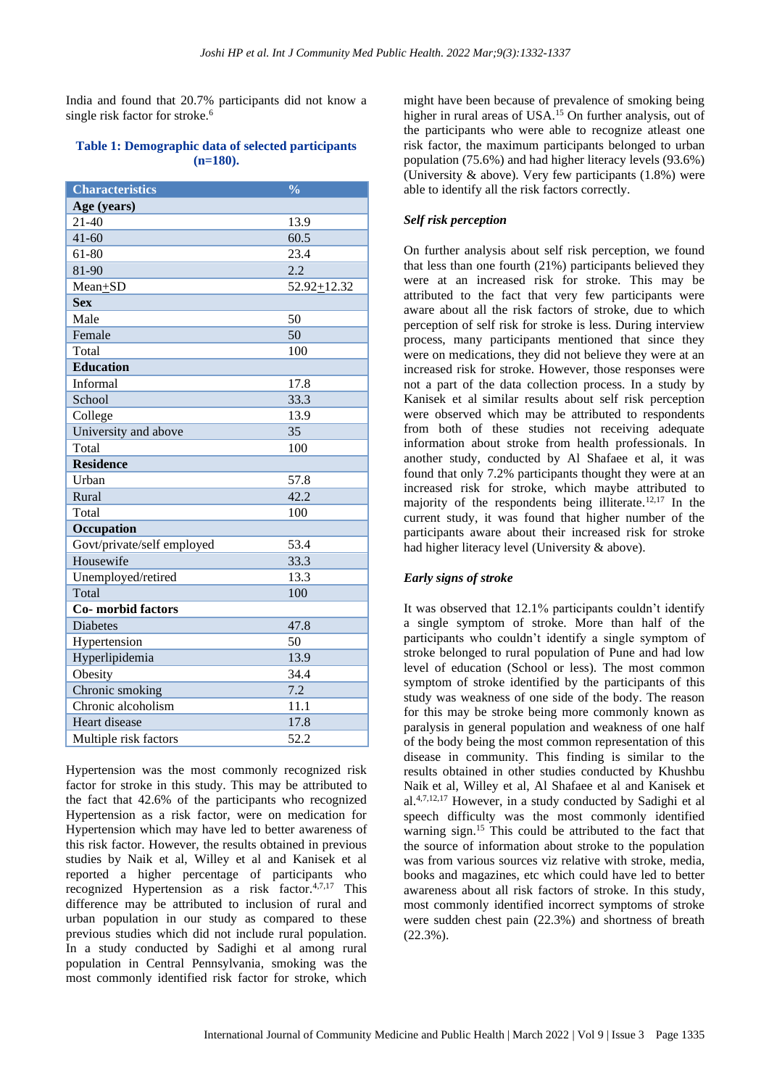India and found that 20.7% participants did not know a single risk factor for stroke.<sup>6</sup>

#### **Table 1: Demographic data of selected participants (n=180).**

| <b>Characteristics</b>     | $\frac{0}{0}$ |  |
|----------------------------|---------------|--|
| Age (years)                |               |  |
| $21 - 40$                  | 13.9          |  |
| $41 - 60$                  | 60.5          |  |
| 61-80                      | 23.4          |  |
| 81-90                      | 2.2           |  |
| Mean+SD                    | 52.92+12.32   |  |
| <b>Sex</b>                 |               |  |
| Male                       | 50            |  |
| Female                     | 50            |  |
| Total                      | 100           |  |
| <b>Education</b>           |               |  |
| Informal                   | 17.8          |  |
| School                     | 33.3          |  |
| College                    | 13.9          |  |
| University and above       | 35            |  |
| Total                      | 100           |  |
| <b>Residence</b>           |               |  |
| Urban                      | 57.8          |  |
| Rural                      | 42.2          |  |
| Total                      | 100           |  |
| Occupation                 |               |  |
| Govt/private/self employed | 53.4          |  |
| Housewife                  | 33.3          |  |
| Unemployed/retired         | 13.3          |  |
| Total                      | 100           |  |
| <b>Co-</b> morbid factors  |               |  |
| <b>Diabetes</b>            | 47.8          |  |
| Hypertension               | 50            |  |
| Hyperlipidemia             | 13.9          |  |
| Obesity                    | 34.4          |  |
| Chronic smoking            | 7.2           |  |
| Chronic alcoholism         | 11.1          |  |
| Heart disease              | 17.8          |  |
| Multiple risk factors      | 52.2          |  |

Hypertension was the most commonly recognized risk factor for stroke in this study. This may be attributed to the fact that 42.6% of the participants who recognized Hypertension as a risk factor, were on medication for Hypertension which may have led to better awareness of this risk factor. However, the results obtained in previous studies by Naik et al, Willey et al and Kanisek et al reported a higher percentage of participants who recognized Hypertension as a risk factor.<sup>4,7,17</sup> This difference may be attributed to inclusion of rural and urban population in our study as compared to these previous studies which did not include rural population. In a study conducted by Sadighi et al among rural population in Central Pennsylvania, smoking was the most commonly identified risk factor for stroke, which

might have been because of prevalence of smoking being higher in rural areas of USA.<sup>15</sup> On further analysis, out of the participants who were able to recognize atleast one risk factor, the maximum participants belonged to urban population (75.6%) and had higher literacy levels (93.6%) (University & above). Very few participants (1.8%) were able to identify all the risk factors correctly.

# *Self risk perception*

On further analysis about self risk perception, we found that less than one fourth (21%) participants believed they were at an increased risk for stroke. This may be attributed to the fact that very few participants were aware about all the risk factors of stroke, due to which perception of self risk for stroke is less. During interview process, many participants mentioned that since they were on medications, they did not believe they were at an increased risk for stroke. However, those responses were not a part of the data collection process. In a study by Kanisek et al similar results about self risk perception were observed which may be attributed to respondents from both of these studies not receiving adequate information about stroke from health professionals. In another study, conducted by Al Shafaee et al, it was found that only 7.2% participants thought they were at an increased risk for stroke, which maybe attributed to majority of the respondents being illiterate.12,17 In the current study, it was found that higher number of the participants aware about their increased risk for stroke had higher literacy level (University & above).

# *Early signs of stroke*

It was observed that 12.1% participants couldn't identify a single symptom of stroke. More than half of the participants who couldn't identify a single symptom of stroke belonged to rural population of Pune and had low level of education (School or less). The most common symptom of stroke identified by the participants of this study was weakness of one side of the body. The reason for this may be stroke being more commonly known as paralysis in general population and weakness of one half of the body being the most common representation of this disease in community. This finding is similar to the results obtained in other studies conducted by Khushbu Naik et al, Willey et al, Al Shafaee et al and Kanisek et al.4,7,12,17 However, in a study conducted by Sadighi et al speech difficulty was the most commonly identified warning sign.<sup>15</sup> This could be attributed to the fact that the source of information about stroke to the population was from various sources viz relative with stroke, media, books and magazines, etc which could have led to better awareness about all risk factors of stroke. In this study, most commonly identified incorrect symptoms of stroke were sudden chest pain (22.3%) and shortness of breath (22.3%).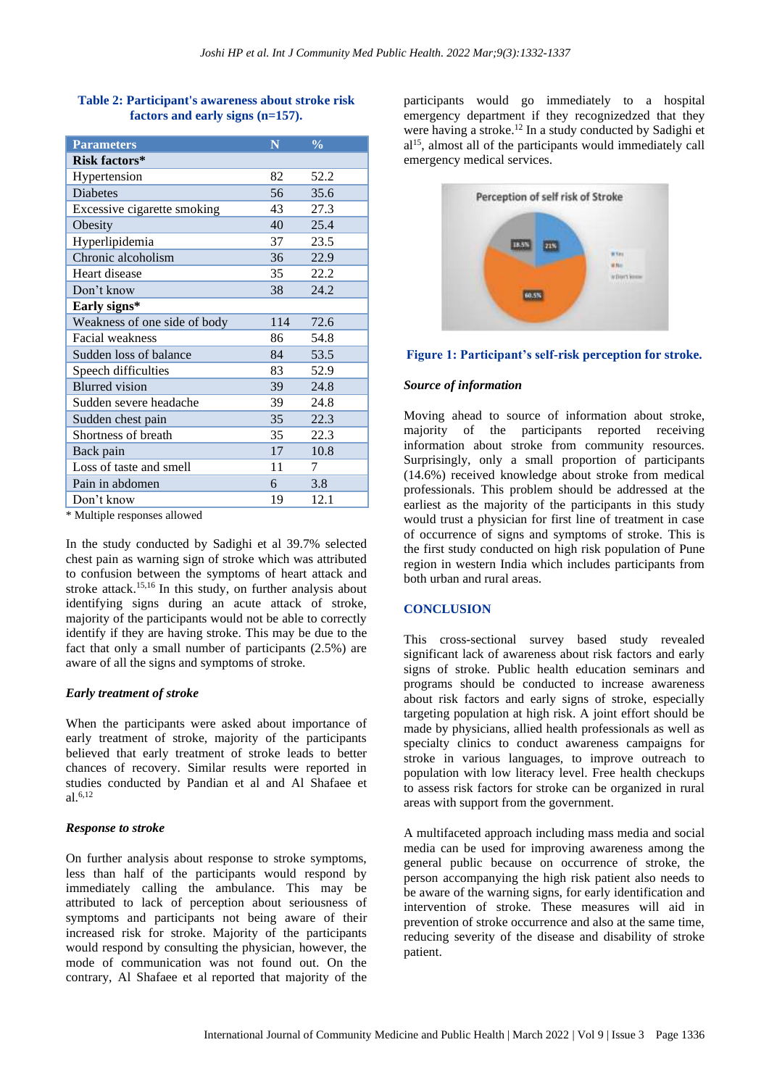| <b>Parameters</b>            | N   | $\frac{0}{0}$ |
|------------------------------|-----|---------------|
| Risk factors*                |     |               |
| Hypertension                 | 82  | 52.2          |
| <b>Diabetes</b>              | 56  | 35.6          |
| Excessive cigarette smoking  | 43  | 27.3          |
| Obesity                      | 40  | 25.4          |
| Hyperlipidemia               | 37  | 23.5          |
| Chronic alcoholism           | 36  | 22.9          |
| Heart disease                | 35  | 22.2          |
| Don't know                   | 38  | 24.2          |
| Early signs*                 |     |               |
| Weakness of one side of body | 114 | 72.6          |
| Facial weakness              | 86  | 54.8          |
| Sudden loss of balance       | 84  | 53.5          |
| Speech difficulties          | 83  | 52.9          |
| <b>Blurred</b> vision        | 39  | 24.8          |
| Sudden severe headache       | 39  | 24.8          |
| Sudden chest pain            | 35  | 22.3          |
| Shortness of breath          | 35  | 22.3          |
| Back pain                    | 17  | 10.8          |
| Loss of taste and smell      | 11  | 7             |
| Pain in abdomen              | 6   | 3.8           |
| Don't know                   | 19  | 12.1          |

# **Table 2: Participant's awareness about stroke risk factors and early signs (n=157).**

\* Multiple responses allowed

In the study conducted by Sadighi et al 39.7% selected chest pain as warning sign of stroke which was attributed to confusion between the symptoms of heart attack and stroke attack.<sup>15,16</sup> In this study, on further analysis about identifying signs during an acute attack of stroke, majority of the participants would not be able to correctly identify if they are having stroke. This may be due to the fact that only a small number of participants (2.5%) are aware of all the signs and symptoms of stroke.

# *Early treatment of stroke*

When the participants were asked about importance of early treatment of stroke, majority of the participants believed that early treatment of stroke leads to better chances of recovery. Similar results were reported in studies conducted by Pandian et al and Al Shafaee et al. 6,12

# *Response to stroke*

On further analysis about response to stroke symptoms, less than half of the participants would respond by immediately calling the ambulance. This may be attributed to lack of perception about seriousness of symptoms and participants not being aware of their increased risk for stroke. Majority of the participants would respond by consulting the physician, however, the mode of communication was not found out. On the contrary, Al Shafaee et al reported that majority of the

participants would go immediately to a hospital emergency department if they recognizedzed that they were having a stroke. <sup>12</sup> In a study conducted by Sadighi et al<sup>15</sup>, almost all of the participants would immediately call emergency medical services.



# **Figure 1: Participant's self-risk perception for stroke.**

#### *Source of information*

Moving ahead to source of information about stroke, majority of the participants reported receiving information about stroke from community resources. Surprisingly, only a small proportion of participants (14.6%) received knowledge about stroke from medical professionals. This problem should be addressed at the earliest as the majority of the participants in this study would trust a physician for first line of treatment in case of occurrence of signs and symptoms of stroke. This is the first study conducted on high risk population of Pune region in western India which includes participants from both urban and rural areas.

# **CONCLUSION**

This cross-sectional survey based study revealed significant lack of awareness about risk factors and early signs of stroke. Public health education seminars and programs should be conducted to increase awareness about risk factors and early signs of stroke, especially targeting population at high risk. A joint effort should be made by physicians, allied health professionals as well as specialty clinics to conduct awareness campaigns for stroke in various languages, to improve outreach to population with low literacy level. Free health checkups to assess risk factors for stroke can be organized in rural areas with support from the government.

A multifaceted approach including mass media and social media can be used for improving awareness among the general public because on occurrence of stroke, the person accompanying the high risk patient also needs to be aware of the warning signs, for early identification and intervention of stroke. These measures will aid in prevention of stroke occurrence and also at the same time, reducing severity of the disease and disability of stroke patient.